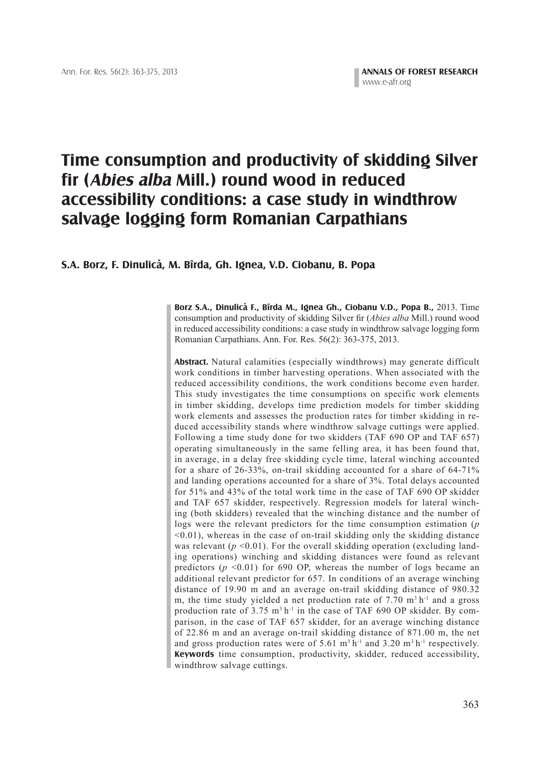# **Time consumption and productivity of skidding Silver fir (Abies alba Mill.) round wood in reduced accessibility conditions: a case study in windthrow salvage logging form Romanian Carpathians**

# **S.A. Borz, F. Dinulica, M. Bîrda, Gh. Ignea, V.D. Ciobanu, B. Popa ^**

Borz S.A., Dinulică F., Bîrda M., Ignea Gh., Ciobanu V.D., Popa B., 2013. Time consumption and productivity of skidding Silver fir (*Abies alba* Mill.) round wood in reduced accessibility conditions: a case study in windthrow salvage logging form Romanian Carpathians. Ann. For. Res. 56(2): 363-375, 2013.

**Abstract.** Natural calamities (especially windthrows) may generate difficult work conditions in timber harvesting operations. When associated with the reduced accessibility conditions, the work conditions become even harder. This study investigates the time consumptions on specific work elements in timber skidding, develops time prediction models for timber skidding work elements and assesses the production rates for timber skidding in reduced accessibility stands where windthrow salvage cuttings were applied. Following a time study done for two skidders (TAF 690 OP and TAF 657) operating simultaneously in the same felling area, it has been found that, in average, in a delay free skidding cycle time, lateral winching accounted for a share of 26-33%, on-trail skidding accounted for a share of 64-71% and landing operations accounted for a share of 3%. Total delays accounted for 51% and 43% of the total work time in the case of TAF 690 OP skidder and TAF 657 skidder, respectively. Regression models for lateral winching (both skidders) revealed that the winching distance and the number of logs were the relevant predictors for the time consumption estimation (*p*   $(0.01)$ , whereas in the case of on-trail skidding only the skidding distance was relevant  $(p \le 0.01)$ . For the overall skidding operation (excluding landing operations) winching and skidding distances were found as relevant predictors  $(p \le 0.01)$  for 690 OP, whereas the number of logs became an additional relevant predictor for 657. In conditions of an average winching distance of 19.90 m and an average on-trail skidding distance of 980.32 m, the time study yielded a net production rate of  $7.70 \text{ m}^3 \text{ h}^{-1}$  and a gross production rate of  $3.75$  m<sup>3</sup> h<sup>-1</sup> in the case of TAF 690 OP skidder. By comparison, in the case of TAF 657 skidder, for an average winching distance of 22.86 m and an average on-trail skidding distance of 871.00 m, the net and gross production rates were of 5.61  $m<sup>3</sup> h<sup>-1</sup>$  and 3.20  $m<sup>3</sup> h<sup>-1</sup>$  respectively. **Keywords** time consumption, productivity, skidder, reduced accessibility, windthrow salvage cuttings.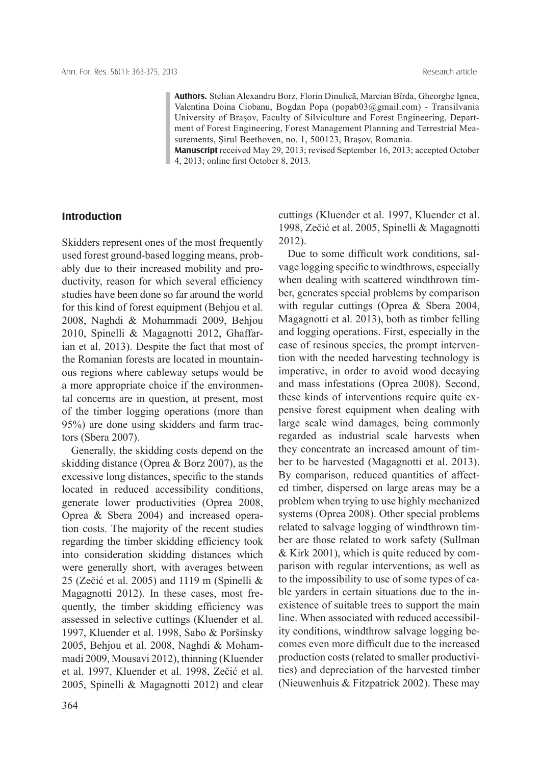**Authors.** Stelian Alexandru Borz, Florin Dinulică, Marcian Bîrda, Gheorghe Ignea, Valentina Doina Ciobanu, Bogdan Popa (popab03@gmail.com) - Transilvania University of Braşov, Faculty of Silviculture and Forest Engineering, Department of Forest Engineering, Forest Management Planning and Terrestrial Measurements, Şirul Beethoven, no. 1, 500123, Braşov, Romania.

**Manuscript** received May 29, 2013; revised September 16, 2013; accepted October 4, 2013; online first October 8, 2013.

# **Introduction**

Skidders represent ones of the most frequently used forest ground-based logging means, probably due to their increased mobility and productivity, reason for which several efficiency studies have been done so far around the world for this kind of forest equipment (Behjou et al. 2008, Naghdi & Mohammadi 2009, Behjou 2010, Spinelli & Magagnotti 2012, Ghaffarian et al. 2013). Despite the fact that most of the Romanian forests are located in mountainous regions where cableway setups would be a more appropriate choice if the environmental concerns are in question, at present, most of the timber logging operations (more than 95%) are done using skidders and farm tractors (Sbera 2007).

 Generally, the skidding costs depend on the skidding distance (Oprea & Borz 2007), as the excessive long distances, specific to the stands located in reduced accessibility conditions, generate lower productivities (Oprea 2008, Oprea & Sbera 2004) and increased operation costs. The majority of the recent studies regarding the timber skidding efficiency took into consideration skidding distances which were generally short, with averages between 25 (Zečić et al. 2005) and 1119 m (Spinelli & Magagnotti 2012). In these cases, most frequently, the timber skidding efficiency was assessed in selective cuttings (Kluender et al. 1997, Kluender et al. 1998, Sabo & Poršinsky 2005, Behjou et al. 2008, Naghdi & Mohammadi 2009, Mousavi 2012), thinning (Kluender et al. 1997, Kluender et al. 1998, Zečić et al. 2005, Spinelli & Magagnotti 2012) and clear cuttings (Kluender et al. 1997, Kluender et al. 1998, Zečić et al. 2005, Spinelli & Magagnotti 2012).

Due to some difficult work conditions, salvage logging specific to windthrows, especially when dealing with scattered windthrown timber, generates special problems by comparison with regular cuttings (Oprea & Sbera 2004, Magagnotti et al. 2013), both as timber felling and logging operations. First, especially in the case of resinous species, the prompt intervention with the needed harvesting technology is imperative, in order to avoid wood decaying and mass infestations (Oprea 2008). Second, these kinds of interventions require quite expensive forest equipment when dealing with large scale wind damages, being commonly regarded as industrial scale harvests when they concentrate an increased amount of timber to be harvested (Magagnotti et al. 2013). By comparison, reduced quantities of affected timber, dispersed on large areas may be a problem when trying to use highly mechanized systems (Oprea 2008). Other special problems related to salvage logging of windthrown timber are those related to work safety (Sullman & Kirk 2001), which is quite reduced by comparison with regular interventions, as well as to the impossibility to use of some types of cable yarders in certain situations due to the inexistence of suitable trees to support the main line. When associated with reduced accessibility conditions, windthrow salvage logging becomes even more difficult due to the increased production costs (related to smaller productivities) and depreciation of the harvested timber (Nieuwenhuis & Fitzpatrick 2002). These may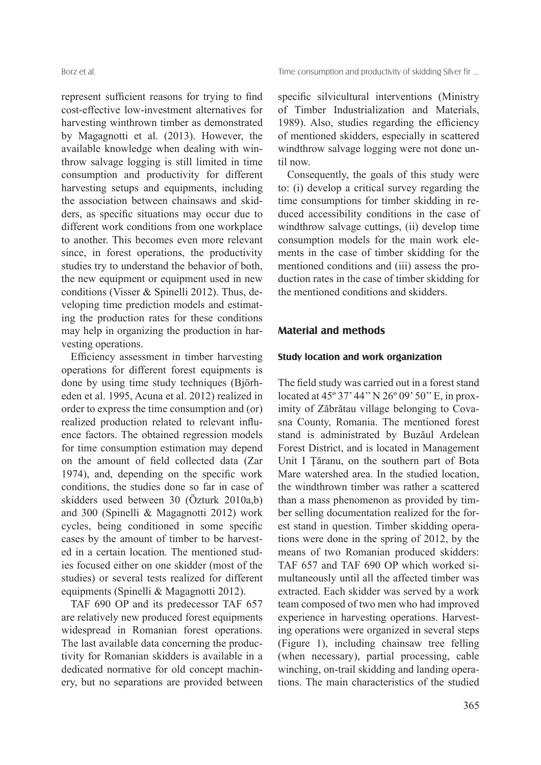represent sufficient reasons for trying to find cost-effective low-investment alternatives for harvesting winthrown timber as demonstrated by Magagnotti et al. (2013). However, the available knowledge when dealing with winthrow salvage logging is still limited in time consumption and productivity for different harvesting setups and equipments, including the association between chainsaws and skidders, as specific situations may occur due to different work conditions from one workplace to another. This becomes even more relevant since, in forest operations, the productivity studies try to understand the behavior of both, the new equipment or equipment used in new conditions (Visser & Spinelli 2012). Thus, developing time prediction models and estimating the production rates for these conditions may help in organizing the production in harvesting operations.

Efficiency assessment in timber harvesting operations for different forest equipments is done by using time study techniques (Björheden et al. 1995, Acuna et al. 2012) realized in order to express the time consumption and (or) realized production related to relevant influence factors. The obtained regression models for time consumption estimation may depend on the amount of field collected data (Zar 1974), and, depending on the specific work conditions, the studies done so far in case of skidders used between 30 (Özturk 2010a,b) and 300 (Spinelli & Magagnotti 2012) work cycles, being conditioned in some specific cases by the amount of timber to be harvested in a certain location. The mentioned studies focused either on one skidder (most of the studies) or several tests realized for different equipments (Spinelli & Magagnotti 2012).

 TAF 690 OP and its predecessor TAF 657 are relatively new produced forest equipments widespread in Romanian forest operations. The last available data concerning the productivity for Romanian skidders is available in a dedicated normative for old concept machinery, but no separations are provided between specific silvicultural interventions (Ministry of Timber Industrialization and Materials, 1989). Also, studies regarding the efficiency of mentioned skidders, especially in scattered windthrow salvage logging were not done until now.

 Consequently, the goals of this study were to: (i) develop a critical survey regarding the time consumptions for timber skidding in reduced accessibility conditions in the case of windthrow salvage cuttings, (ii) develop time consumption models for the main work elements in the case of timber skidding for the mentioned conditions and (iii) assess the production rates in the case of timber skidding for the mentioned conditions and skidders.

# **Material and methods**

# **Study location and work organization**

The field study was carried out in a forest stand located at 45º 37' 44'' N 26º 09' 50'' E, in proximity of Zăbrătau village belonging to Covasna County, Romania. The mentioned forest stand is administrated by Buzăul Ardelean Forest District, and is located in Management Unit I Ţăranu, on the southern part of Bota Mare watershed area. In the studied location, the windthrown timber was rather a scattered than a mass phenomenon as provided by timber selling documentation realized for the forest stand in question. Timber skidding operations were done in the spring of 2012, by the means of two Romanian produced skidders: TAF 657 and TAF 690 OP which worked simultaneously until all the affected timber was extracted. Each skidder was served by a work team composed of two men who had improved experience in harvesting operations. Harvesting operations were organized in several steps (Figure 1), including chainsaw tree felling (when necessary), partial processing, cable winching, on-trail skidding and landing operations. The main characteristics of the studied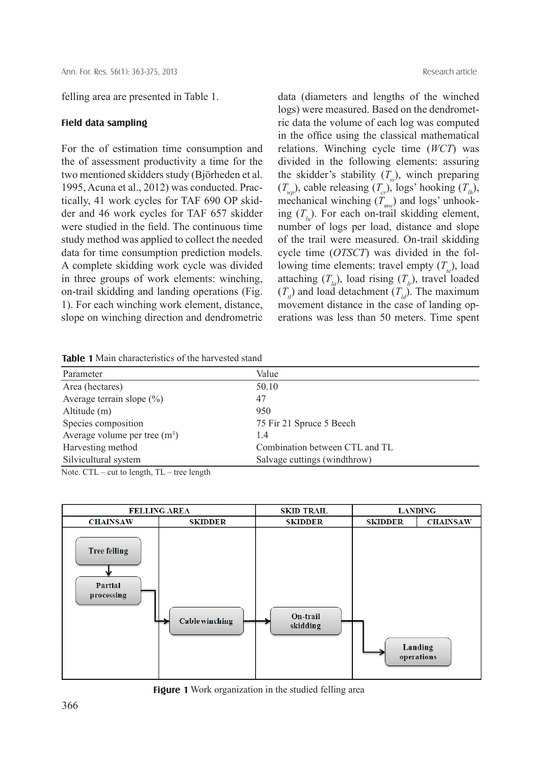felling area are presented in Table 1.

#### **Field data sampling**

For the of estimation time consumption and the of assessment productivity a time for the two mentioned skidders study (Björheden et al. 1995, Acuna et al., 2012) was conducted. Practically, 41 work cycles for TAF 690 OP skidder and 46 work cycles for TAF 657 skidder were studied in the field. The continuous time study method was applied to collect the needed data for time consumption prediction models. A complete skidding work cycle was divided in three groups of work elements: winching, on-trail skidding and landing operations (Fig. 1). For each winching work element, distance, slope on winching direction and dendrometric data (diameters and lengths of the winched logs) were measured. Based on the dendrometric data the volume of each log was computed in the office using the classical mathematical relations. Winching cycle time (*WCT*) was divided in the following elements: assuring the skidder's stability  $(T<sub>ss</sub>)$ , winch preparing  $(T_{wp})$ , cable releasing  $(T_{cr})$ , logs' hooking  $(T_{lh})$ , mechanical winching  $(\tilde{T}_{mv})$  and logs' unhooking  $(T_{\mu})$ . For each on-trail skidding element, number of logs per load, distance and slope of the trail were measured. On-trail skidding cycle time (*OTSCT*) was divided in the following time elements: travel empty  $(T_{\mu})$ , load attaching  $(T_{l_a})$ , load rising  $(T_{l_r})$ , travel loaded  $(T<sub>d</sub>)$  and load detachment  $(T<sub>d</sub>)$ . The maximum movement distance in the case of landing operations was less than 50 meters. Time spent

**Table 1** Main characteristics of the harvested stand

| Parameter                      | Value                          |
|--------------------------------|--------------------------------|
| Area (hectares)                | 50.10                          |
| Average terrain slope $(\% )$  | 47                             |
| Altitude (m)                   | 950                            |
| Species composition            | 75 Fir 21 Spruce 5 Beech       |
| Average volume per tree $(m3)$ | 1.4                            |
| Harvesting method              | Combination between CTL and TL |
| Silvicultural system           | Salvage cuttings (windthrow)   |

Note. CTL – cut to length, TL – tree length



**Figure 1** Work organization in the studied felling area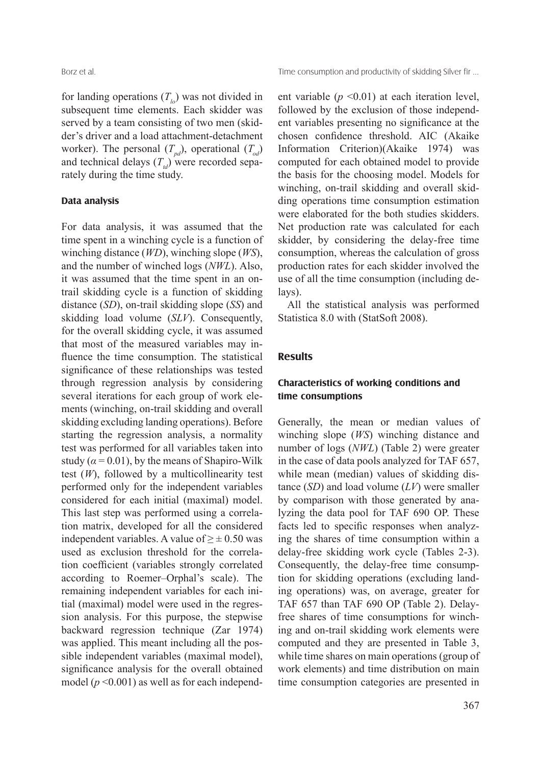for landing operations  $(T<sub>i</sub>)$  was not divided in subsequent time elements. Each skidder was served by a team consisting of two men (skidder's driver and a load attachment-detachment worker). The personal  $(T_{pd})$ , operational  $(T_{pd})$ and technical delays  $(T_{td})$  were recorded separately during the time study.

## **Data analysis**

For data analysis, it was assumed that the time spent in a winching cycle is a function of winching distance (*WD*), winching slope (*WS*), and the number of winched logs (*NWL*). Also, it was assumed that the time spent in an ontrail skidding cycle is a function of skidding distance (*SD*), on-trail skidding slope (*SS*) and skidding load volume (*SLV*). Consequently, for the overall skidding cycle, it was assumed that most of the measured variables may influence the time consumption. The statistical significance of these relationships was tested through regression analysis by considering several iterations for each group of work elements (winching, on-trail skidding and overall skidding excluding landing operations). Before starting the regression analysis, a normality test was performed for all variables taken into study ( $\alpha$  = 0.01), by the means of Shapiro-Wilk test (*W*), followed by a multicollinearity test performed only for the independent variables considered for each initial (maximal) model. This last step was performed using a correlation matrix, developed for all the considered independent variables. A value of  $\geq \pm 0.50$  was used as exclusion threshold for the correlation coefficient (variables strongly correlated according to Roemer–Orphal's scale). The remaining independent variables for each initial (maximal) model were used in the regression analysis. For this purpose, the stepwise backward regression technique (Zar 1974) was applied. This meant including all the possible independent variables (maximal model), significance analysis for the overall obtained model  $(p \le 0.001)$  as well as for each independent variable  $(p \le 0.01)$  at each iteration level, followed by the exclusion of those independent variables presenting no significance at the chosen confidence threshold. AIC (Akaike Information Criterion)(Akaike 1974) was computed for each obtained model to provide the basis for the choosing model. Models for winching, on-trail skidding and overall skidding operations time consumption estimation were elaborated for the both studies skidders. Net production rate was calculated for each skidder, by considering the delay-free time consumption, whereas the calculation of gross production rates for each skidder involved the use of all the time consumption (including delays).

 All the statistical analysis was performed Statistica 8.0 with (StatSoft 2008).

## **Results**

# **Characteristics of working conditions and time consumptions**

Generally, the mean or median values of winching slope (*WS*) winching distance and number of logs (*NWL*) (Table 2) were greater in the case of data pools analyzed for TAF 657, while mean (median) values of skidding distance (*SD*) and load volume (*LV*) were smaller by comparison with those generated by analyzing the data pool for TAF 690 OP. These facts led to specific responses when analyzing the shares of time consumption within a delay-free skidding work cycle (Tables 2-3). Consequently, the delay-free time consumption for skidding operations (excluding landing operations) was, on average, greater for TAF 657 than TAF 690 OP (Table 2). Delayfree shares of time consumptions for winching and on-trail skidding work elements were computed and they are presented in Table 3, while time shares on main operations (group of work elements) and time distribution on main time consumption categories are presented in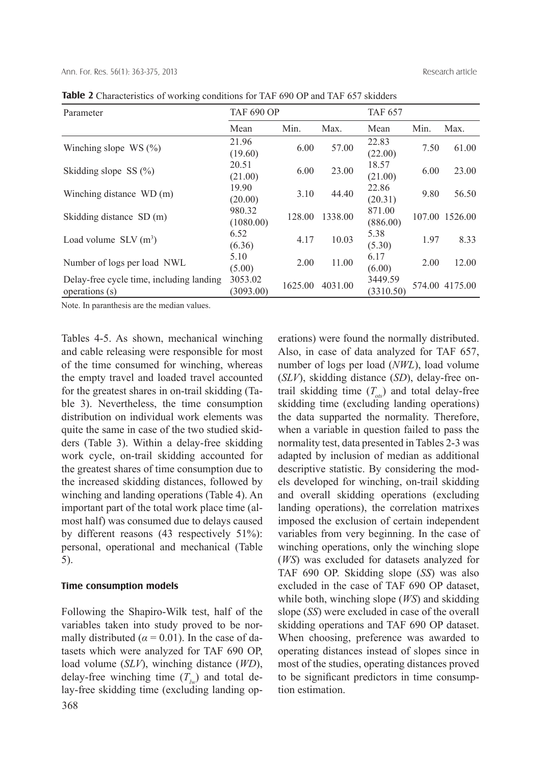| Parameter                                | <b>TAF 690 OP</b> |         |         | <b>TAF 657</b> |      |                |
|------------------------------------------|-------------------|---------|---------|----------------|------|----------------|
|                                          | Mean              | Min.    | Max.    | Mean           | Min. | Max.           |
| Winching slope $WS(%)$                   | 21.96             | 6.00    | 57.00   | 22.83          | 7.50 | 61.00          |
|                                          | (19.60)           |         |         | (22.00)        |      |                |
| Skidding slope $SS(%)$                   | 20.51             | 6.00    | 23.00   | 18.57          | 6.00 | 23.00          |
|                                          | (21.00)           |         |         | (21.00)        |      |                |
| Winching distance WD (m)                 | 19.90             | 3.10    | 44.40   | 22.86          | 9.80 | 56.50          |
|                                          | (20.00)           |         |         | (20.31)        |      |                |
| Skidding distance SD (m)                 | 980.32            | 128.00  | 1338.00 | 871.00         |      | 107.00 1526.00 |
|                                          | (1080.00)         |         |         | (886.00)       |      |                |
| Load volume $SLV(m^3)$                   | 6.52              | 4.17    | 10.03   | 5.38           | 1.97 | 8.33           |
|                                          | (6.36)            |         |         | (5.30)         |      |                |
| Number of logs per load NWL              | 5.10              | 2.00    | 11.00   | 6.17           | 2.00 | 12.00          |
|                                          | (5.00)            |         |         | (6.00)         |      |                |
| Delay-free cycle time, including landing | 3053.02           | 1625.00 | 4031.00 | 3449.59        |      | 574.00 4175.00 |
| operations (s)                           | (3093.00)         |         |         | (3310.50)      |      |                |

**Table 2** Characteristics of working conditions for TAF 690 OP and TAF 657 skidders

Note. In paranthesis are the median values.

Tables 4-5. As shown, mechanical winching and cable releasing were responsible for most of the time consumed for winching, whereas the empty travel and loaded travel accounted for the greatest shares in on-trail skidding (Table 3). Nevertheless, the time consumption distribution on individual work elements was quite the same in case of the two studied skidders (Table 3). Within a delay-free skidding work cycle, on-trail skidding accounted for the greatest shares of time consumption due to the increased skidding distances, followed by winching and landing operations (Table 4). An important part of the total work place time (almost half) was consumed due to delays caused by different reasons (43 respectively 51%): personal, operational and mechanical (Table 5).

## **Time consumption models**

368 Following the Shapiro-Wilk test, half of the variables taken into study proved to be normally distributed ( $\alpha$  = 0.01). In the case of datasets which were analyzed for TAF 690 OP, load volume (*SLV*), winching distance (*WD*), delay-free winching time  $(T_w)$  and total delay-free skidding time (excluding landing operations) were found the normally distributed. Also, in case of data analyzed for TAF 657, number of logs per load (*NWL*), load volume (*SLV*), skidding distance (*SD*), delay-free ontrail skidding time  $(T_{\alpha s})$  and total delay-free skidding time (excluding landing operations) the data supparted the normality. Therefore, when a variable in question failed to pass the normality test, data presented in Tables 2-3 was adapted by inclusion of median as additional descriptive statistic. By considering the models developed for winching, on-trail skidding and overall skidding operations (excluding landing operations), the correlation matrixes imposed the exclusion of certain independent variables from very beginning. In the case of winching operations, only the winching slope (*WS*) was excluded for datasets analyzed for TAF 690 OP. Skidding slope (*SS*) was also excluded in the case of TAF 690 OP dataset, while both, winching slope (*WS*) and skidding slope (*SS*) were excluded in case of the overall skidding operations and TAF 690 OP dataset. When choosing, preference was awarded to operating distances instead of slopes since in most of the studies, operating distances proved to be significant predictors in time consumption estimation.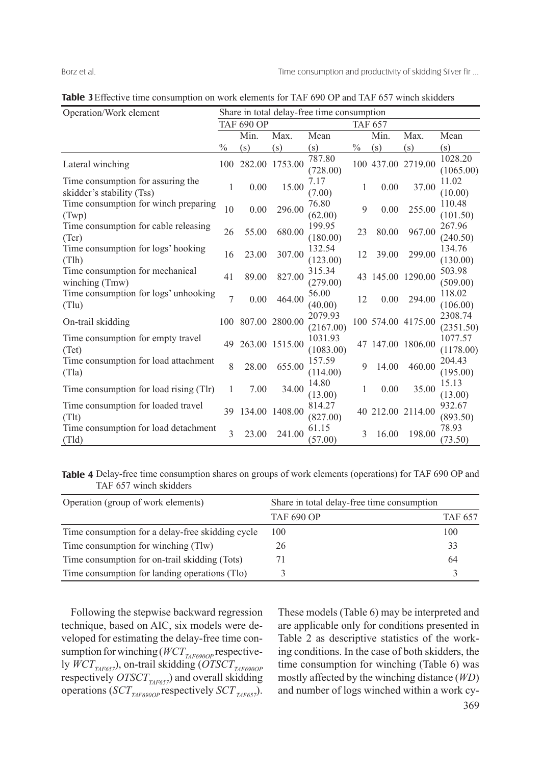| Operation/Work element                                         | Share in total delay-free time consumption |        |                |                      |               |       |                    |                      |
|----------------------------------------------------------------|--------------------------------------------|--------|----------------|----------------------|---------------|-------|--------------------|----------------------|
|                                                                | <b>TAF 690 OP</b>                          |        |                | <b>TAF 657</b>       |               |       |                    |                      |
|                                                                |                                            | Min.   | Max.           | Mean                 |               | Min.  | Max.               | Mean                 |
|                                                                | $\frac{0}{0}$                              | (s)    | (s)            | (s)                  | $\frac{0}{0}$ | (s)   | (s)                | (s)                  |
| Lateral winching                                               | 100                                        | 282.00 | 1753.00        | 787.80<br>(728.00)   |               |       | 100 437.00 2719.00 | 1028.20<br>(1065.00) |
| Time consumption for assuring the<br>skidder's stability (Tss) | 1                                          | 0.00   | 15.00          | 7.17<br>(7.00)       | $\mathbf{I}$  | 0.00  | 37.00              | 11.02<br>(10.00)     |
| Time consumption for winch preparing<br>(Twp)                  | 10                                         | 0.00   | 296.00         | 76.80<br>(62.00)     | 9             | 0.00  | 255.00             | 110.48<br>(101.50)   |
| Time consumption for cable releasing<br>(Tcr)                  | 26                                         | 55.00  | 680.00         | 199.95<br>(180.00)   | 23            | 80.00 | 967.00             | 267.96<br>(240.50)   |
| Time consumption for logs' hooking<br>(Tlh)                    | 16                                         | 23.00  | 307.00         | 132.54<br>(123.00)   | 12            | 39.00 | 299.00             | 134.76<br>(130.00)   |
| Time consumption for mechanical<br>winching (Tmw)              | 41                                         | 89.00  | 827.00         | 315.34<br>(279.00)   | 43            |       | 145.00 1290.00     | 503.98<br>(509.00)   |
| Time consumption for logs' unhooking<br>(Tlu)                  | 7                                          | 0.00   | 464.00         | 56.00<br>(40.00)     | 12            | 0.00  | 294.00             | 118.02<br>(106.00)   |
| On-trail skidding                                              | 100                                        |        | 807.00 2800.00 | 2079.93<br>(2167.00) |               |       | 100 574.00 4175.00 | 2308.74<br>(2351.50) |
| Time consumption for empty travel<br>(Tet)                     | 49                                         |        | 263.00 1515.00 | 1031.93<br>(1083.00) |               |       | 47 147.00 1806.00  | 1077.57<br>(1178.00) |
| Time consumption for load attachment<br>(Tla)                  | 8                                          | 28.00  | 655.00         | 157.59<br>(114.00)   | 9             | 14.00 | 460.00             | 204.43<br>(195.00)   |
| Time consumption for load rising (Tlr)                         | 1                                          | 7.00   | 34.00          | 14.80<br>(13.00)     | 1             | 0.00  | 35.00              | 15.13<br>(13.00)     |
| Time consumption for loaded travel<br>(Tlt)                    | 39                                         |        | 134.00 1408.00 | 814.27<br>(827.00)   |               |       | 40 212.00 2114.00  | 932.67<br>(893.50)   |
| Time consumption for load detachment<br>(Tld)                  | 3                                          | 23.00  | 241.00         | 61.15<br>(57.00)     | 3             | 16.00 | 198.00             | 78.93<br>(73.50)     |

**Table 3**Effective time consumption on work elements for TAF 690 OP and TAF 657 winch skidders

Table 4 Delay-free time consumption shares on groups of work elements (operations) for TAF 690 OP and TAF 657 winch skidders

| Operation (group of work elements)               | Share in total delay-free time consumption |         |  |  |  |
|--------------------------------------------------|--------------------------------------------|---------|--|--|--|
|                                                  | <b>TAF 690 OP</b>                          | TAF 657 |  |  |  |
| Time consumption for a delay-free skidding cycle | 100                                        | 100     |  |  |  |
| Time consumption for winching (Tlw)              | 26                                         | 33      |  |  |  |
| Time consumption for on-trail skidding (Tots)    |                                            | 64      |  |  |  |
| Time consumption for landing operations (Tlo)    |                                            |         |  |  |  |

 Following the stepwise backward regression technique, based on AIC, six models were developed for estimating the delay-free time consumption for winching ( $WCT_{\text{IAF690OP}}$  respectively  $WCT_{\text{TAF657}}$ ), on-trail skidding (*OTSCT<sub>TAF690OP</sub>* respectively  $OTSCT_{TAF657}$ ) and overall skidding operations (*SCT*<sub>*TAF690OP*</sub> respectively *SCT*<sub>*TAF657*).</sub>

369 These models (Table 6) may be interpreted and are applicable only for conditions presented in Table 2 as descriptive statistics of the working conditions. In the case of both skidders, the time consumption for winching (Table 6) was mostly affected by the winching distance (*WD*) and number of logs winched within a work cy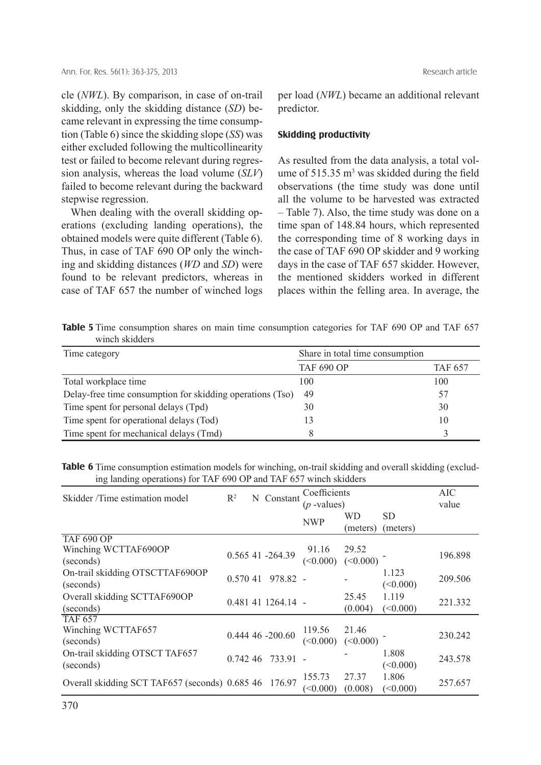cle (*NWL*). By comparison, in case of on-trail skidding, only the skidding distance (*SD*) became relevant in expressing the time consumption (Table 6) since the skidding slope (*SS*) was either excluded following the multicollinearity test or failed to become relevant during regression analysis, whereas the load volume (*SLV*) failed to become relevant during the backward stepwise regression.

 When dealing with the overall skidding operations (excluding landing operations), the obtained models were quite different (Table 6). Thus, in case of TAF 690 OP only the winching and skidding distances (*WD* and *SD*) were found to be relevant predictors, whereas in case of TAF 657 the number of winched logs per load (*NWL*) became an additional relevant predictor.

## **Skidding productivity**

As resulted from the data analysis, a total volume of  $515.35 \text{ m}^3$  was skidded during the field observations (the time study was done until all the volume to be harvested was extracted – Table 7). Also, the time study was done on a time span of 148.84 hours, which represented the corresponding time of 8 working days in the case of TAF 690 OP skidder and 9 working days in the case of TAF 657 skidder. However, the mentioned skidders worked in different places within the felling area. In average, the

Table 5 Time consumption shares on main time consumption categories for TAF 690 OP and TAF 657 winch skidders

| Time category                                             | Share in total time consumption |                |
|-----------------------------------------------------------|---------------------------------|----------------|
|                                                           | <b>TAF 690 OP</b>               | <b>TAF 657</b> |
| Total workplace time                                      | 100                             | 100            |
| Delay-free time consumption for skidding operations (Tso) | 49                              | 57             |
| Time spent for personal delays (Tpd)                      | 30                              | 30             |
| Time spent for operational delays (Tod)                   | 13                              | 10             |
| Time spent for mechanical delays (Tmd)                    |                                 |                |

Table 6 Time consumption estimation models for winching, on-trail skidding and overall skidding (excluding landing operations) for TAF 690 OP and TAF 657 winch skidders

| Skidder/Time estimation model                         | $R^2$    | Coefficients<br>N Constant |                    |               |          | AIC       |         |  |
|-------------------------------------------------------|----------|----------------------------|--------------------|---------------|----------|-----------|---------|--|
|                                                       |          |                            |                    | $(p$ -values) |          |           | value   |  |
|                                                       |          |                            |                    | <b>NWP</b>    | WD       | <b>SD</b> |         |  |
|                                                       |          |                            |                    |               | (meters) | (meters)  |         |  |
| <b>TAF 690 OP</b>                                     |          |                            |                    |               |          |           |         |  |
| Winching WCTTAF690OP                                  |          |                            | 0.565 41 -264.39   | 91.16         | 29.52    |           |         |  |
| (seconds)                                             |          |                            |                    | (<0.000)      | (<0.000) |           | 196.898 |  |
| On-trail skidding OTSCTTAF690OP                       | 0.570 41 |                            | 978.82 -           |               |          | 1.123     | 209.506 |  |
| (seconds)                                             |          |                            |                    |               |          | (<0.000)  |         |  |
| Overall skidding SCTTAF690OP                          |          |                            |                    |               | 25.45    | 1.119     |         |  |
| (seconds)                                             |          |                            | 0.481 41 1264.14 - |               | (0.004)  | (<0.000)  | 221.332 |  |
| <b>TAF 657</b>                                        |          |                            |                    |               |          |           |         |  |
| Winching WCTTAF657                                    |          |                            | 0.444 46 -200.60   | 119.56        | 21.46    |           |         |  |
| (seconds)                                             |          |                            |                    | (<0.000)      | (<0.000) |           | 230.242 |  |
| On-trail skidding OTSCT TAF657                        |          |                            |                    |               |          | 1.808     |         |  |
| (seconds)                                             |          |                            | $0.74246$ 733.91 - |               |          | (<0.000)  | 243.578 |  |
|                                                       |          |                            |                    | 155.73        | 27.37    | 1.806     |         |  |
| Overall skidding SCT TAF657 (seconds) 0.685 46 176.97 |          |                            |                    | $\leq 0.000$  | (0.008)  | (<0.000)  | 257.657 |  |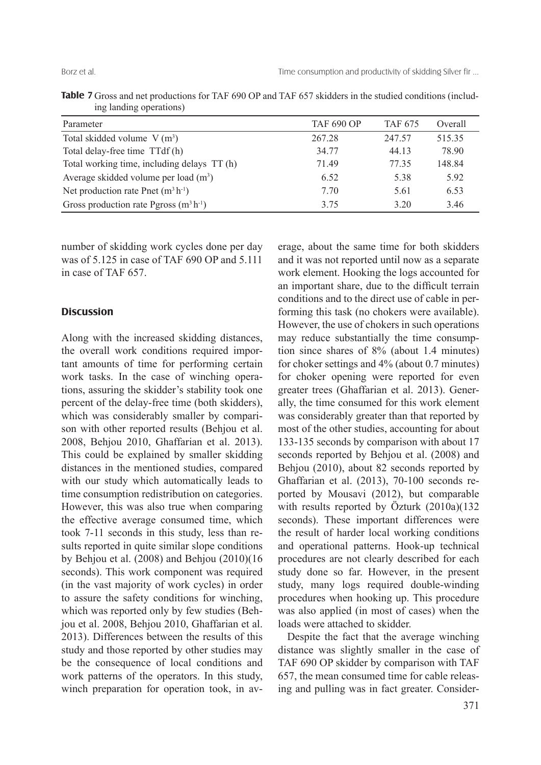| Table 7 Gross and net productions for TAF 690 OP and TAF 657 skidders in the studied conditions (includ- |  |  |  |  |
|----------------------------------------------------------------------------------------------------------|--|--|--|--|
| ing landing operations)                                                                                  |  |  |  |  |

| Parameter                                   | <b>TAF 690 OP</b> | <b>TAF 675</b> | Overall |
|---------------------------------------------|-------------------|----------------|---------|
| Total skidded volume $V(m^3)$               | 267.28            | 247.57         | 515.35  |
| Total delay-free time TTdf(h)               | 34.77             | 44.13          | 78.90   |
| Total working time, including delays TT (h) | 71.49             | 77 35          | 148.84  |
| Average skidded volume per load $(m^3)$     | 6.52              | 5.38           | 5.92    |
| Net production rate Pnet $(m^3 h^{-1})$     | 7.70              | 5.61           | 6.53    |
| Gross production rate Pgross $(m^3 h^{-1})$ | 3.75              | 3 20           | 3.46    |

number of skidding work cycles done per day was of 5.125 in case of TAF 690 OP and 5.111 in case of TAF 657.

# **Discussion**

Along with the increased skidding distances, the overall work conditions required important amounts of time for performing certain work tasks. In the case of winching operations, assuring the skidder's stability took one percent of the delay-free time (both skidders), which was considerably smaller by comparison with other reported results (Behjou et al. 2008, Behjou 2010, Ghaffarian et al. 2013). This could be explained by smaller skidding distances in the mentioned studies, compared with our study which automatically leads to time consumption redistribution on categories. However, this was also true when comparing the effective average consumed time, which took 7-11 seconds in this study, less than results reported in quite similar slope conditions by Behjou et al. (2008) and Behjou (2010)(16 seconds). This work component was required (in the vast majority of work cycles) in order to assure the safety conditions for winching, which was reported only by few studies (Behjou et al. 2008, Behjou 2010, Ghaffarian et al. 2013). Differences between the results of this study and those reported by other studies may be the consequence of local conditions and work patterns of the operators. In this study, winch preparation for operation took, in average, about the same time for both skidders and it was not reported until now as a separate work element. Hooking the logs accounted for an important share, due to the difficult terrain conditions and to the direct use of cable in performing this task (no chokers were available). However, the use of chokers in such operations may reduce substantially the time consumption since shares of 8% (about 1.4 minutes) for choker settings and 4% (about 0.7 minutes) for choker opening were reported for even greater trees (Ghaffarian et al. 2013). Generally, the time consumed for this work element was considerably greater than that reported by most of the other studies, accounting for about 133-135 seconds by comparison with about 17 seconds reported by Behjou et al. (2008) and Behjou (2010), about 82 seconds reported by Ghaffarian et al. (2013), 70-100 seconds reported by Mousavi (2012), but comparable with results reported by Özturk (2010a)(132 seconds). These important differences were the result of harder local working conditions and operational patterns. Hook-up technical procedures are not clearly described for each study done so far. However, in the present study, many logs required double-winding procedures when hooking up. This procedure was also applied (in most of cases) when the loads were attached to skidder.

 Despite the fact that the average winching distance was slightly smaller in the case of TAF 690 OP skidder by comparison with TAF 657, the mean consumed time for cable releasing and pulling was in fact greater. Consider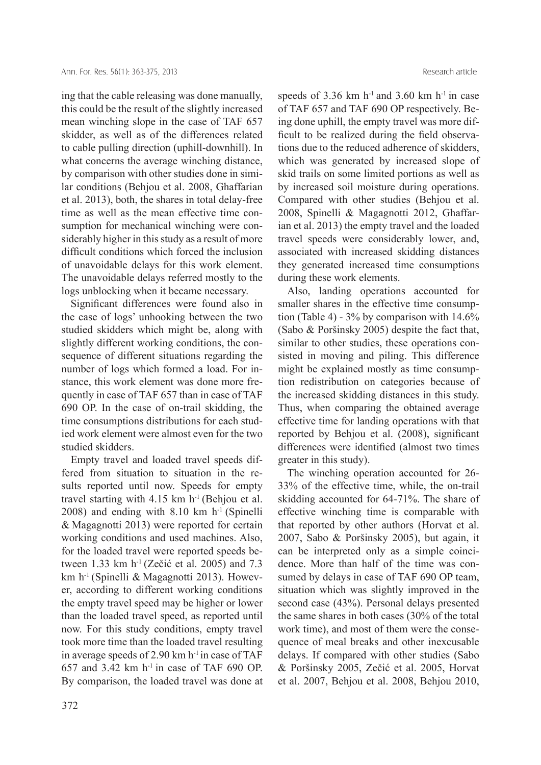ing that the cable releasing was done manually, this could be the result of the slightly increased mean winching slope in the case of TAF 657 skidder, as well as of the differences related to cable pulling direction (uphill-downhill). In what concerns the average winching distance, by comparison with other studies done in similar conditions (Behjou et al. 2008, Ghaffarian et al. 2013), both, the shares in total delay-free time as well as the mean effective time consumption for mechanical winching were considerably higher in this study as a result of more difficult conditions which forced the inclusion of unavoidable delays for this work element. The unavoidable delays referred mostly to the logs unblocking when it became necessary.

Significant differences were found also in the case of logs' unhooking between the two studied skidders which might be, along with slightly different working conditions, the consequence of different situations regarding the number of logs which formed a load. For instance, this work element was done more frequently in case of TAF 657 than in case of TAF 690 OP. In the case of on-trail skidding, the time consumptions distributions for each studied work element were almost even for the two studied skidders.

 Empty travel and loaded travel speeds differed from situation to situation in the results reported until now. Speeds for empty travel starting with 4.15 km  $h^{-1}$  (Behjou et al.  $2008$ ) and ending with  $8.10 \text{ km} \text{ h}^{-1}$  (Spinelli & Magagnotti 2013) were reported for certain working conditions and used machines. Also, for the loaded travel were reported speeds between 1.33 km h<sup>-1</sup> (Zečić et al. 2005) and 7.3 km h<sup>-1</sup> (Spinelli & Magagnotti 2013). However, according to different working conditions the empty travel speed may be higher or lower than the loaded travel speed, as reported until now. For this study conditions, empty travel took more time than the loaded travel resulting in average speeds of 2.90 km  $h^{-1}$  in case of TAF 657 and 3.42 km  $h^{-1}$  in case of TAF 690 OP. By comparison, the loaded travel was done at speeds of 3.36 km  $h^{-1}$  and 3.60 km  $h^{-1}$  in case of TAF 657 and TAF 690 OP respectively. Being done uphill, the empty travel was more difficult to be realized during the field observations due to the reduced adherence of skidders, which was generated by increased slope of skid trails on some limited portions as well as by increased soil moisture during operations. Compared with other studies (Behjou et al. 2008, Spinelli & Magagnotti 2012, Ghaffarian et al. 2013) the empty travel and the loaded travel speeds were considerably lower, and, associated with increased skidding distances they generated increased time consumptions during these work elements.

 Also, landing operations accounted for smaller shares in the effective time consumption (Table 4) - 3% by comparison with 14.6% (Sabo & Poršinsky 2005) despite the fact that, similar to other studies, these operations consisted in moving and piling. This difference might be explained mostly as time consumption redistribution on categories because of the increased skidding distances in this study. Thus, when comparing the obtained average effective time for landing operations with that reported by Behjou et al. (2008), significant differences were identified (almost two times greater in this study).

 The winching operation accounted for 26- 33% of the effective time, while, the on-trail skidding accounted for 64-71%. The share of effective winching time is comparable with that reported by other authors (Horvat et al. 2007, Sabo & Poršinsky 2005), but again, it can be interpreted only as a simple coincidence. More than half of the time was consumed by delays in case of TAF 690 OP team, situation which was slightly improved in the second case (43%). Personal delays presented the same shares in both cases (30% of the total work time), and most of them were the consequence of meal breaks and other inexcusable delays. If compared with other studies (Sabo & Poršinsky 2005, Zečić et al. 2005, Horvat et al. 2007, Behjou et al. 2008, Behjou 2010,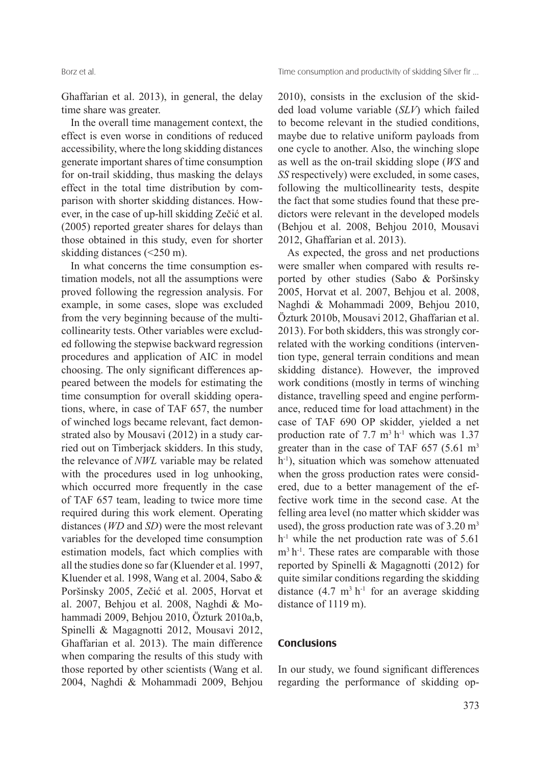Ghaffarian et al. 2013), in general, the delay time share was greater.

 In the overall time management context, the effect is even worse in conditions of reduced accessibility, where the long skidding distances generate important shares of time consumption for on-trail skidding, thus masking the delays effect in the total time distribution by comparison with shorter skidding distances. However, in the case of up-hill skidding Zečić et al. (2005) reported greater shares for delays than those obtained in this study, even for shorter skidding distances (<250 m).

 In what concerns the time consumption estimation models, not all the assumptions were proved following the regression analysis. For example, in some cases, slope was excluded from the very beginning because of the multicollinearity tests. Other variables were excluded following the stepwise backward regression procedures and application of AIC in model choosing. The only significant differences appeared between the models for estimating the time consumption for overall skidding operations, where, in case of TAF 657, the number of winched logs became relevant, fact demonstrated also by Mousavi (2012) in a study carried out on Timberjack skidders. In this study, the relevance of *NWL* variable may be related with the procedures used in log unhooking, which occurred more frequently in the case of TAF 657 team, leading to twice more time required during this work element. Operating distances (*WD* and *SD*) were the most relevant variables for the developed time consumption estimation models, fact which complies with all the studies done so far (Kluender et al. 1997, Kluender et al. 1998, Wang et al. 2004, Sabo & Poršinsky 2005, Zečić et al. 2005, Horvat et al. 2007, Behjou et al. 2008, Naghdi & Mohammadi 2009, Behjou 2010, Özturk 2010a,b, Spinelli & Magagnotti 2012, Mousavi 2012, Ghaffarian et al. 2013). The main difference when comparing the results of this study with those reported by other scientists (Wang et al. 2004, Naghdi & Mohammadi 2009, Behjou 2010), consists in the exclusion of the skidded load volume variable (*SLV*) which failed to become relevant in the studied conditions, maybe due to relative uniform payloads from one cycle to another. Also, the winching slope as well as the on-trail skidding slope (*WS* and *SS* respectively) were excluded, in some cases, following the multicollinearity tests, despite the fact that some studies found that these predictors were relevant in the developed models (Behjou et al. 2008, Behjou 2010, Mousavi 2012, Ghaffarian et al. 2013).

 As expected, the gross and net productions were smaller when compared with results reported by other studies (Sabo & Poršinsky 2005, Horvat et al. 2007, Behjou et al. 2008, Naghdi & Mohammadi 2009, Behjou 2010, Özturk 2010b, Mousavi 2012, Ghaffarian et al. 2013). For both skidders, this was strongly correlated with the working conditions (intervention type, general terrain conditions and mean skidding distance). However, the improved work conditions (mostly in terms of winching distance, travelling speed and engine performance, reduced time for load attachment) in the case of TAF 690 OP skidder, yielded a net production rate of 7.7  $m<sup>3</sup> h<sup>-1</sup>$  which was 1.37 greater than in the case of TAF  $657$  (5.61 m<sup>3</sup>) h<sup>-1</sup>), situation which was somehow attenuated when the gross production rates were considered, due to a better management of the effective work time in the second case. At the felling area level (no matter which skidder was used), the gross production rate was of  $3.20 \text{ m}^3$  $h^{-1}$  while the net production rate was of 5.61  $m<sup>3</sup> h<sup>-1</sup>$ . These rates are comparable with those reported by Spinelli & Magagnotti (2012) for quite similar conditions regarding the skidding distance  $(4.7 \text{ m}^3 \text{ h}^{-1})$  for an average skidding distance of 1119 m).

# **Conclusions**

In our study, we found significant differences regarding the performance of skidding op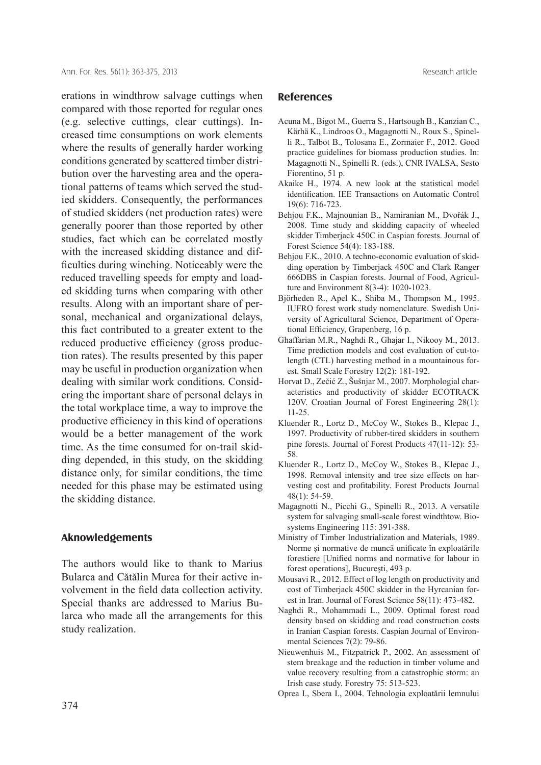erations in windthrow salvage cuttings when compared with those reported for regular ones (e.g. selective cuttings, clear cuttings). Increased time consumptions on work elements where the results of generally harder working conditions generated by scattered timber distribution over the harvesting area and the operational patterns of teams which served the studied skidders. Consequently, the performances of studied skidders (net production rates) were generally poorer than those reported by other studies, fact which can be correlated mostly with the increased skidding distance and difficulties during winching. Noticeably were the reduced travelling speeds for empty and loaded skidding turns when comparing with other results. Along with an important share of personal, mechanical and organizational delays, this fact contributed to a greater extent to the reduced productive efficiency (gross production rates). The results presented by this paper may be useful in production organization when dealing with similar work conditions. Considering the important share of personal delays in the total workplace time, a way to improve the productive efficiency in this kind of operations would be a better management of the work time. As the time consumed for on-trail skidding depended, in this study, on the skidding distance only, for similar conditions, the time needed for this phase may be estimated using the skidding distance.

# **Aknowledgements**

The authors would like to thank to Marius Bularca and Cătălin Murea for their active involvement in the field data collection activity. Special thanks are addressed to Marius Bularca who made all the arrangements for this study realization.

# **References**

- Acuna M., Bigot M., Guerra S., Hartsough B., Kanzian C., Kärhä K., Lindroos O., Magagnotti N., Roux S., Spinelli R., Talbot B., Tolosana E., Zormaier F., 2012. Good practice guidelines for biomass production studies. In: Magagnotti N., Spinelli R. (eds.), CNR IVALSA, Sesto Fiorentino, 51 p.
- Akaike H., 1974. A new look at the statistical model identification. IEE Transactions on Automatic Control 19(6): 716-723.
- Behjou F.K., Majnounian B., Namiranian M., Dvořák J., 2008. Time study and skidding capacity of wheeled skidder Timberjack 450C in Caspian forests. Journal of Forest Science 54(4): 183-188.
- Behjou F.K., 2010. A techno-economic evaluation of skidding operation by Timberjack 450C and Clark Ranger 666DBS in Caspian forests. Journal of Food, Agriculture and Environment 8(3-4): 1020-1023.
- Björheden R., Apel K., Shiba M., Thompson M., 1995. IUFRO forest work study nomenclature. Swedish University of Agricultural Science, Department of Operational Efficiency, Grapenberg, 16 p.
- Ghaffarian M.R., Naghdi R., Ghajar I., Nikooy M., 2013. Time prediction models and cost evaluation of cut-tolength (CTL) harvesting method in a mountainous forest. Small Scale Forestry 12(2): 181-192.
- Horvat D., Zečić Z., Šušnjar M., 2007. Morphologial characteristics and productivity of skidder ECOTRACK 120V. Croatian Journal of Forest Engineering 28(1): 11-25.
- Kluender R., Lortz D., McCoy W., Stokes B., Klepac J., 1997. Productivity of rubber-tired skidders in southern pine forests. Journal of Forest Products 47(11-12): 53- 58.
- Kluender R., Lortz D., McCoy W., Stokes B., Klepac J., 1998. Removal intensity and tree size effects on harvesting cost and profitability. Forest Products Journal 48(1): 54-59.
- Magagnotti N., Picchi G., Spinelli R., 2013. A versatile system for salvaging small-scale forest windthtow. Biosystems Engineering 115: 391-388.
- Ministry of Timber Industrialization and Materials, 1989. Norme și normative de muncă unificate în exploatările forestiere [Unified norms and normative for labour in forest operations], Bucureşti, 493 p.
- Mousavi R., 2012. Effect of log length on productivity and cost of Timberjack 450C skidder in the Hyrcanian forest in Iran. Journal of Forest Science 58(11): 473-482.
- Naghdi R., Mohammadi L., 2009. Optimal forest road density based on skidding and road construction costs in Iranian Caspian forests. Caspian Journal of Environmental Sciences 7(2): 79-86.
- Nieuwenhuis M., Fitzpatrick P., 2002. An assessment of stem breakage and the reduction in timber volume and value recovery resulting from a catastrophic storm: an Irish case study. Forestry 75: 513-523.
- Oprea I., Sbera I., 2004. Tehnologia exploatării lemnului